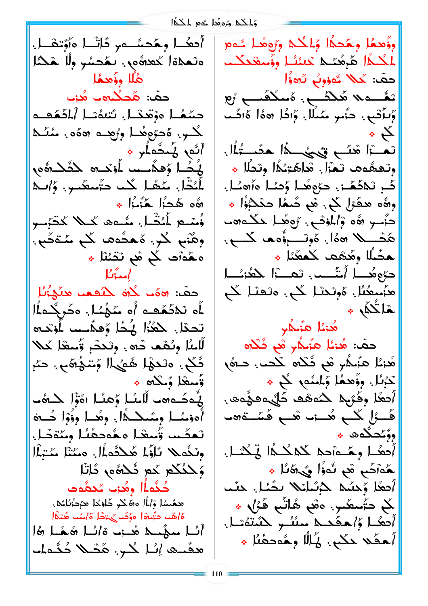وَٰلِكُمْ وَرُوهُا مُوم لِكُما

أُحعُـــا وهُحمْــــــــــم دَّاتْـــا وَوُّتِهْـــا. هِ تَعْدَاهُ لَا دَهُوهُ مِنْ مِنْ مَسْرَ وَلَا حَمْلُهُ عَلَيْهِ هُلَّا وؤُهمُا حقّ هُدِكْدُهِ مُن كُمْسٍ. هُجرَّەهُما ورُهمه «هُه. مُنَكْم اْلُه لْمَحْملَو \* لُوحُما وَعِدَّسَتَ أَوْتَدِهِ لِلصَّلَامُونَ لَمُنْتَا. مَمْعُما كُب حَتَّمعكَسِ. وَٱلْلَا هُه هُدُ الْمُنْزَلُ؛ ؤْشَـْعِ لَمُنْشَارِ. مُنْـٰهِ كَـٰلاً كَتْبُرْسِرِ وِهْنَى لَكُو. ەُھڞُەھ كُلّ سُتَوَكّى. مَعْدَات کُمْ شَی تَتَمُنَا \* ا مىدَّىْل حقّ: 50م لَاهْ لِمَلْعَمِ هَلَهُ; لَم تكمَّده أو مَعْهُمًا. وكُوجُدهُا تَحْدًا. ۖ خَعْدُا ۖ يُحُلُّ وَقِدَّسِت ۖ ـ أَوْتَحِيهِ لَّامِلًا وِنُـقَم ذَه . وِتَـدَّم وَّمِـعْلَ كَـلا ثَكْلِ. وتَعَهْلُ هُيُّ الرُّسْهُ هُنْ. حَبْرِ وَّسطاً وُسْلاه ﴾ يُّەكَــەھـَـ لَّامْلَـا وَّهَنَّا آەُوْٓا ۖ نَــْهُـَـ أُهوْمُسًا وِمُبْكِّدًا. وِهُبا وِوُّوْا حُسْرَهُ تمصّب وُّمعْدا معُوجعُنُا ومِّوْصًا. وتَخْمِلا تَاؤُلِمْ هَٰلِكُمَاٰلِ. مِمْتْلِ مَنْتِرْلَا وَحِكْكُم كُم ثَكْرُهُ وَكَاتًا كُنُّه لَمَّا وهُنِّ كَنْفُوت همَّسُا وْاٰلُمَّا هِ مَكْرٍ خَاوْخًا هَرَّدُّائِكَا. كَاهُما حَبَّدَةَ الْمَوْكَبِ كَتَرْدَأَ وَامْنَدْ هُنَدَّا اْئْلَ مَیْمَنْیْ مُیْتِ وْاَیْلَ ھُیْلَ ھَا هفَــه إِنّـا كُــو. هُـَــلا دُخُــهات

وؤهمًا وهُجمًا وُلمُحُمَّ وَوَهُمَا شَوِيرٍ لمككا هُرمُكك تحسُل ووُسعْدكَت حقَّ: كَلَّلْا شُوْوِبُ لَهُوَّا تَقْسَمْهُ هَٰلِكَے. هُسْلُكَسَے رُع وَبِلاَثْبِ. حَنُّبٍ مَيْلًا. وَاجًا 6% هَاكُت تَمَسَّرًا هُنَّے قُبْحُ ۖ وَٰلَا حَثَمَّـ رَّٰٓاً ۖ ۚ } وتَعْقُوها تَمْزَا. مْلْغَرْنُمُّا وتْطُلْ \* كَرِ تَكَكَّبَ. حَرَّوهُما وَّصْلَ وَأَهْمَا. وِرْهُ مِحْمَوْلِ كُلِّي. هُم حُتمُل حَكَثِرُوا \* دَّىبِ ۞ُو وۡاٰلِمُوۡفَـبِ ۚ وَوَهُــا حَكَــٰهِ وَتَ كَتْصِيْلًا 30\$. كَوِتْسْبِؤْهِ مَا كُلْسِيْ. هدُّىلًا ومُكْعَد لَكْمِعْدًا ﴾ دوْهِ حَمْلٍ أَنْتُسْبٍ. ثمسْرًا حَعُزَسًا ھزُمھُلُا. ەُوِتْحْنَا كُلِ. ەتقىل كُلِ هاتككي \* هُزمُا هزُمكُر حقَّ: هُزئا هَنُمُر ثُو ثَكْلُه هُٰزِيُّا هَٰٓزَىٰكُم هُم ثَلَاه لَّكْت، حـهُر ثَبُرُنَا. وِؤَهَدُمَا وَلِمَنَّمَ لَكُمْ \* أدهُا وِفَرُها لِمُدْهُد كُلُّهِ وَهُوهِ. فَجَلٍ كُلِّ هُـــزم هَلَّـــ فَسَنَّة هم وؤيمكم \* \* أُدهُا وِهُدَآمِهِ كَلاحُكُمُّا تَحْمَلُ هَ الْأَهْلِ هُمْ لَهُ أَمْ لَهُ الْمَكْلُمُ ﴾ أُحعُل وَحسَّلا لِكَسَّلاتِيلا بِحَسَّلَ. حسَّب كُمْ حَتَّمْتَعُسْرٍ. هُمْ هُاتُمْ قَوْلُ \* أَدْهُا وَإِلَّمَقَّدُهُ سَنُنُّبِ كَثَنْتُهُ ٓا. أهفَلا لحكْمٍ. يُمالُا وِهُوَحِفُنَا \*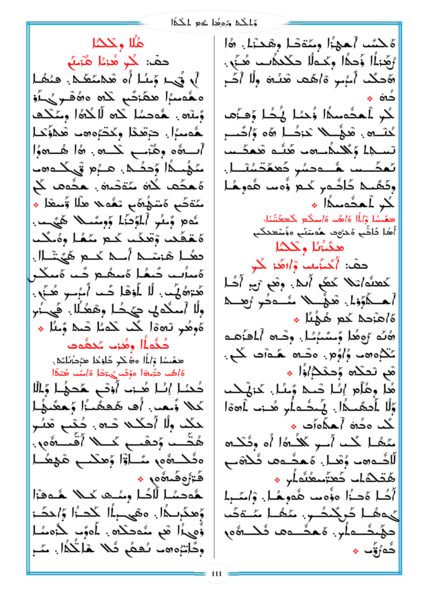وَٰلِكُمْ وَرُوهُا مُوم لِكُما

مُلا , تحملا حقَّ: كُمْ هُزْمًا هُزْمَعٌ وَهُوَمِيرًا هَدَّتَيْنَ كَلَّاهُ وَهُقَـٰوِيُ لَهُ وًْمِنْهِ . هُوَجِبًا لَّكُمْ لَالْكُلُّهَ الْمِتَكُلُّفَ هُوسرُا. دِرْهَدًا وِكْتَرُوهِ هُدْؤُكَمَا أبسفُه وهُنب للسه في الله عليهوا مَكَهُمِكُمْ وَحَصُّكَ. هَــُرْمَ قَيْكُــدُهَمْ ەُھكُمْ لُاَةْ مُتَەتْسَةٍ. ھَـُّەمَا لَكُمْ مَّةَهُمْ هُتَدُهُمْ مُعْدَلًا وَمُنَقَّلًا \* مُهو وُسُو ٱلْمَوْدَٰىٰ وَوِسُكُ هَيُبِ، ەققىد ۋقىك كىم مىما وەلگ حعُما هُنِسْمِ أَسِمِ كَسْعِ هَيُنْسَالَ. ەْساب شەما ەسھەر ئىر ەسكىر هُتَرْهُ إِنَّ لَا أَوْقَا هُـد أَبُّوسِ هُـنِّي. ولًا أسكَّدها وحَكِمًا وهَعُلًا. فَي ُزِر ەُوھُر ئەۋاڭ باي كەئا ئىم ۇملا ھ كُنُّه لَمَٰ المُؤْمَّدِينَ مُحَدَّدَة مِنْ ا همَّسُا وْالْمَا هِ مَكْرٍ خَاوْخًا هَرْجَٰنُائِهِ. كَاهُد حَبَّمْهَا مَؤْثَد جَاءَا وَامَّد هُتِمَّا كُحِمُـٰا /ِنُـا هُـٰٓنِـ /ُوْتَـعِ ـهُحِجُّـا وَۡـٰالَا كَلا وُحمدٍ. أَفْ هُفَقَدُ أَوْحَقَدُكُمْ ھکُد واُا آُڪَلا شَہو. ڪُٽِم هُنُـو هُتُــــــــه وُحقْــــــه أَقْـــــوهُ مِبْ ەئْكْشُەر مُّـاۋَا وُھڭىب ھْھھُـا گَڗ۫ٛٯڡؙۺ۫٥ڔ هُوصِمُا لَاحُا وِمُنِهَ كَلَّلَ هُـوَوْا وُهكْرِبِـدًا. وهَيْجِرِيلًا كَنْدَرُّا وَاحْدَدَ وْهِيدًا هُمْ مُتَوَصَّلُهُ . لَمَوْمٍ حَذْوَمُنَا وِدَّاتزەھە ئەھُم ئَىلا ھَاتَّكْلَا. مَّــز

هَ حَسَّى أَحْجَزُا وَحَقْدًا وَهُجَزَا. هَ ا رُهُٰٓٓٓٓہٗٓٓہٗذَاٗا وَحُداًا حَكَّكَمُّٮَٮ مُّـَٓءٍ. ، هُحكٌم أُـبُـب هُ/هُـُعه هُـنُـهْ وِلَّا أُخُـبِ ∻ ∾ే لْكُو لْمَحْمَسِكُا وُحِبًا هُنُا وُحِبُّه كُلَّـــره . هَـوُـــــــــلا كَــْتَــــل رَهُ وَأَكَـــــرِ تسببلم وَكَلامكُسِيهِ مَكْسُم مْعَضِّسَت تُمجَّـــب هُـــومِنُو جُعِمَّتْمُنْـَــلَ وكَهُـــمْ كُلْتُـــم كَــمُ ؤُهِــت هُومِــمُــل لْحُرِ ٱهْجُومِيكَا ﴾ همَّسًا وْالْمَا هَاهُمْ هَامْكُمْ كُلْعَقْتُمَا. أَهْلِ قَاظَّبِ هَدْوَت حَقْمَتْنَبِ وَفُسْعَدِكَبِ هدٌٰۥ;ُٮُل و تَكِنُّا حقَّ: أَكْتُرْسَا وْااهُدْ كُلّْر ِكَعِنُواتِكَ كَعَي أَبَدَ. وَهَي رَبِّ أَجُل أَهْلِكُوْفِكَ. تَعَيْنُنِكُمْ مُنْسُودُو رُهِنَكُمْ هُ/هنْحِه كُعِ هُجُبُّا \* هُنُه رُوهُا وُسُبُبُـا. وشَـه ٱلمعَزْهـه  $\sum_{i=1}^N \sum_{j=1}^N \sum_{j=1}^N \sum_{j=1}^N \sum_{j=1}^N \sum_{j=1}^N \sum_{j=1}^N \sum_{j=1}^N \sum_{j=1}^N \sum_{j=1}^N$ هْمْ نْحَلَّاهْ وُحَكَّلُواْ \* هُا وِهُلُم إِنَّا شَـٰهِ وَّسُلَ. كَـٰزَلْمَـٰـٰ وَلَا لَمَعْمَــدًا. لَمَــثَــملَہِ مُــنِــ لَمِنْهَا لَكَ وَدُوهُ أَهْلُواُفٍ ﴾ مَعْط كُــد أُسـو كَلْــرْهَا أَه وِثَـٰدَه لَّائُـــە∞ٮ وُهْــا. هُـعثـُــەڡ ئُـلاۋىــم هُتَّكُمُكُ ضَعَتَّمَعُنُّهُ \* أَكْسَا هُجِبًا وَوْوِيبَ هُوَوِيمًا. وْأَسْتِبَطْ ىدە ئارگىدۇ. مەھلى مىقكى حَهُنْشُــه مُرَّــهُ مَشْــهِ مِنْ مَثْلِــ وَهُومِ دُهُ وَقُ \*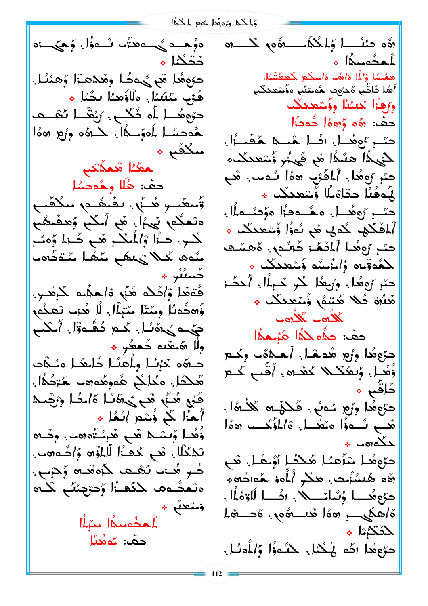وَلِمَكُمْ وَرُوهُا مُؤْمِرِ لِمَكْلَا

ەۇھسە ئېسەھتىك ئىسەۋًا. بۇھنىسىزە دْدْكْلا \* حرِّهِهُا هُمْ يُهضُا وِهْلِهِمْ أَمِّهِ مِمْلًا. هُوًى مَنْسُمًا. هِالْأَهْمُا بِحُمْلِ \* دوْهِمَا لَمْ فَكُلَّ . رُغْشًا نَهْــم هُدمسُا لِمُوۡسِطًا. كَــهُ٥ وِرُمِ هَا سَلَّفُم \* معَمْا شمكَتَب حق: هُلُّا وِهُوصُل وَّسفَسر هُــَيْ). لقَنڤَــه سَلَاقَـــم ەتمگەر ئىبزا. شى أىكىر ۇھگىگىر كُمْسٍ. حَيَّا وْٱلْمَكْسِ هُبِ خَيْنَا وُهِمَّرِ مەغقىد لىغنى بىغىن 1⁄4 مەغ كَس*للُو* ۞ فَّةهْا وْٱكْدْ هُنَّ ٱهْهُمُد كْبِهْدِ. ؤُهفُوبُل مِمْتْلِ مَتَبِٱلَ. لَا هُذِ تَعَذُّهِ، كَهُـدَى مَنْ الْمَعْدِ مِنْ مَنْ مِنْ الْمَحْمَدِ مِنْ الْمَحْمَدِينَ مِنْ مَنْ مَحْمَدِينَ مِنْ مَ وِلَّا شَيْئَكَ كُمْعُو \* حـةه ثْبُلًا وِلْمَلًا دُلْعَلَ دُلْمُهَا مَـْدُ هَٰٓڵڷٵ؞ ەڬڶػٚٚٚڵ؋ڡۘ۫ۅۿؘڡ٥ڡۦۿڗۮؙۿؙٳ؞ هُنَّى هُنَّى هُم يُ\$لُم ةَ احْمًا وَرْجَمِهِ أَحْزَا لَكُمْ وُسْعِ إِنَّعَا \* ؤُهُدا وَبِسْدا هُم هُرِسُتُوهوں. وِصْع لَـمَكْلًا. هُـم كَـفـُزُا لِّالزُوه وَإِضُـدهـ. كُبِ هُـ: نُـْهَـْتَ الْمُوْهَدَةَ وَجْرَبَعَ. ەتىمشەھە لىڭھىزا ۆجۆچئىكى تكىھ ۈشكىگ پ ILE ILucial حقَّ: عُوهُنُا

، وَمَا الْمُكْلِمِ الْمَكْلُمُ مِنْ الْمَكْسَمِينَ مِنْ الْمَكْسَمَةِ \* Kusant همَّسُل وَ*ٱل*ْلَا هَاهُمَا هَاسِكُمْ كُمْعَتَّسَّلَا. أُهُا ثَاتَٰبٍ ہٗدرٗہ ۔ هُمننَٰب ہوَٰمُعدكٚب وزوءا تملئا وؤشعنك حقَّ: 6ه وُههُ ا خُوطُ حمّٰ إِنَّ وَهُمَا لَمْ الْمُسَمَّدُ هُفَسُوًّا لِ لِمَنِيجًا هِنَيْجًا مْعِ فَيِيَّةٍ وَمَعْدَكَتْ: حَمْرٍ رُوهُا ۚ. ٱلْمُغَىٰ ۞هُ أَ شَـْمَــٰ : شَـَع يُّەفُىُّا حَثَاةَم<sup>ُّل</sup>ا <del>زُ</del>ىنْعْجَكْ \* حِمْبِ رُوهُــا. مِمُّــوفُرُا وَوَحِمْــولَمُا. ٱلمَكْلِي لَكُمْلِي شَيْءَ أَوْ أَسْعِدِكُمْ ﴾ [ حِمْمِ رُوهُما ٱلْمُكْمَرْ حُرْسُودٍ. هُهِسَتِ لِلْغُوْتُوهِ وُأُمُّومَنُّو وُمْعِدِكُمْ \* حمّ رُوهُا. ورُبِعُا كُر كَبِلًا. أَحدَّ: ھَىنُە قُلا ھُتىھُ ۚ وُسْعِدِكُ ۚ ﴾  $\chi$ حق: حَدُّه حَدًّا هُبُعَهَا دَوْهِ وَرُمِ هُدِهَا. أَحْدَثَت وَحُمِ ؤُهُـا. وُبعَكَــلا كَعْــه. أَقُب كَــع حُاقَى \* دوِّهِ وزُهِ مُمْ وَفَى اللَّهُ مِنْ اللَّهُ مِنْ هْبِ نُــووَٰا وَعَعُــاً. وْالْمُؤْكَــب هِوْا \* Lorder دَوْهِ مُدَامِنًا هُلِكُمْ أَوُسُكًا. هُبِ 06 هَلسُنُت. هكْر أُلمُو هَدادُه \* دَدِّەھُـــــــا وُتُىلتـــــــــا . (ئُــــــا لَّاوْهُ اُلْ. لأشكى موقف المصرية المصرية حَدّثهُمَا \* حوِّهِ هَٰا اثَمِ لِّيَكْتَا. كَلَّمَوُّا وَّالْمَصَا.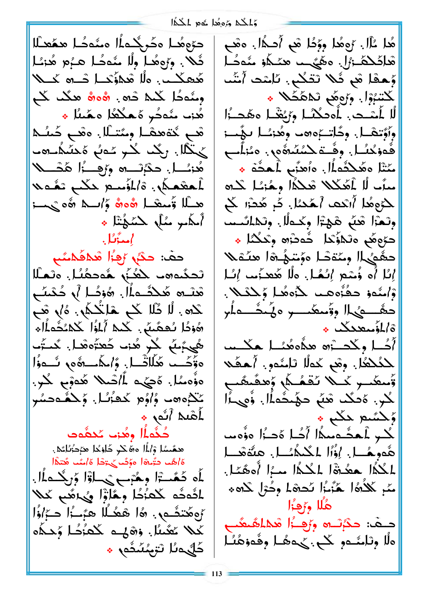وَلِمَكُمْ وَرُوهُا مُؤْمِرِ لِمَكْلَا

حرِّوهُـا وَحُرِيْكُـواْ وَمُوَجَّـا هِمَعَـْلَا ثَىلا . وَرُوهُما ولَّا مُنْوَجُما هَـرُمْ هُـزْمُـلْ هُعكَـــ، وَلَا مْحَفَّىْــا دْــ ه حْـــلا وِمُدَدًا لَكُمْ دُهِ. قُوهُ هَكُمْ لَكُمْ هُزم مُدَدُرٍ هُ هَكْعُلَ هَ هُملُلٌ \* هْم خُةْهِصَّا وِمُتَـلًا. هِمْم كُـمُـكُـ ىتاما. رېگ بىگ يىڭ بۇ سالگىز هُذئــــا. حكَرْبَـــــه وَرَفِـــدًا هَجْـــــلا لْمَعْمَلُهِ. ةَ/لمُؤْسِع هكْبٍ تَعُدِه هسلا وَّسعْداً وَّهُ وَٰالِهِ وَهُ عَلَيْهِ وَ أَمكُسٍ مُأَلِّ لِمَنْهُنَّا ﴾ ا مېڭۇل حقَّ: حَتَّى رِّهِۥُّا شَدَفَّدَسُّمِ لْحَكُمُومَا لِلْعُنِّي هُوجِعُنُا. وَتَعَلَّا هْلُــهِ هَٰـٰلَكُــٰـٰءاُلِ. هُوۡضًا ﴾ ضُمْنَـٰـم ݣُو. لَا ݣَالْكُمْ هْلْتُكُمْ. ەُلْ شَعْ هُوْدًا نُعِمَّىٍّ. كُنْمْ أَلْمُوْا كَلْمُدُّدَمَٰا! ﴾ هُيِّبَبِّ لَكُو هُنِي كَعِتَوْهِ لَا يُمِتَّو وَقِّصَــد هَٰلَاتَـْــل: وُٱمكَــــرهُٯ شَــووُّا ەۋُەممًا. ەَجَهْدْ اُنْسَلا ھُدْوِمْ كُلْر. ئڭرەھب ۇ/ۇم كھاُئال. ۇڭگەھىلو لِمُصْلِمِ أَنُورٍ \* دُخُه أُل وهُن، سُدهُه، همَّسُا وْالْمَا هِ هَٰكُو حُاوْكًا هَزَدُّنْلُكُمْ. كَاهُـد حَبَّدةَ الْمَوْحُد حَبَّحْلَ كَامَنْد هُتْدًا لَمْهِ كَمُسْتَرَا وِهُبْبٍ يُحِلُّوْا وَرِيْحُـمِلَا ِ. لمُدْدُه كُلْمُزْدًا وِهَٰٓآٰوْۤا وَيُلاَّفُ كَلاَ رُوهُتثَــُــمِ. هُا هُعُــلًا هبُــزًا حــزٌ/وُا كْمَلَا مّْعُمْئًا. وْݣُلْ كَلْمْ رَحْكُمْ وْحَكَّاه \* مِصْنَمْنَ انْمِرْكُمْ

هُدا عْلَا. رُوهُدا ووُحُل هُم أَحِــدًا. وهُم تَعَاكُلاَهُ : وَلَيْ مَعَيْبِ مِنْكُونَ مِنْدَدًا وَمِعْلِ هُو ثَلا تَتَكُنِي. تَاسْد أَسَّد للتَّبْوْلُ. وَوَهُمْ لَمْهَكُلا \* لًا لَمْسْتِ. لَمُحكْسًا وَرُغَثْنَا مِفْحَـٰ;ًا وأؤتنف الموحَّات و هو وهُن اللَّه وهُند اللَّه فُومُدُسُل. وِڤَــة ِحْسُدُهُ٥. ومُزَلَّمِب مَنْنَا مَعَلِّكُماًا. مأهنَّى أُحِثَّة \* مىدًى لَا يْمَكّْلا شْلَكُلْ! وِهُنْمًا كَلَاه ِ الْكَرِّمِ مُعْمَّلٍ مَنْ أَحْمَدُ مَنْ الْأَمَرِ مَنْ مَنْ الْأَمْرِ مَنْ الْأَمْرِ مَنْ الْأَمْ وثعْزَا هْنِّي هْجْتَزا وحُدلًا. وثمانَّــب حوّوهُم وَتَدْوَّيْداً خُوضُوه وتَعَكْبُا \* حَقَّىٰ السَّامَةِ وَمُتَجَرَّةُ الْعَظَمَةُ إِنَّا أَهِ وُسْعِ إِنَّـٰمًا. هِلَّا هُتِعَـٰٓءَٮ إِنَّـٰا وْٱمْنُوهِ حَقَّةُوهِم لِأَوْهُدَا وَلِحْقَـٰلًا .  $\frac{1}{2}$ أُحُــا وِكْحَــْتُ هَدُّهُ هُدُــا حَكْــمَت لِمُنْحَمَدًا. وِتَى كَمَلًا تَامَنُوهِ. أَحْقَىٰ تُستَكْسِرِ كَسَلًا تُقَمُّلُو وَمَقَّنفُسِم لْكُو. ەُدْكُما ھْنَ حَهُمْشُماً!. وْهِيداً! وَحْسُم حَكْمٍ \* كُبُّرٍ ٱلْعَشُّوسِيًّا أَضًّا وَدَءًا وَوُوسًا هُومِيا. إِذْاً لِمُكْدُبِ]. هِنُوْهَبا لمككُل هعُدةًا لمككُل معا أُههَّدًا. مِّم كَلَاهُ! هَٰٓ;ْمُرَا نَحِيْهَا وحُوْلِ جَلَاهِ ﴾ هُلًا وَ ۡفِ ٗا حــف: حـدؒالله ورُهــزُا هَـداهُــعُب هأل وتلمُّدو لَكَ يَكْمَلُ الْمُفْتَوَاتِينَ وَالْمَسْتَمْتَ وَاللَّهَ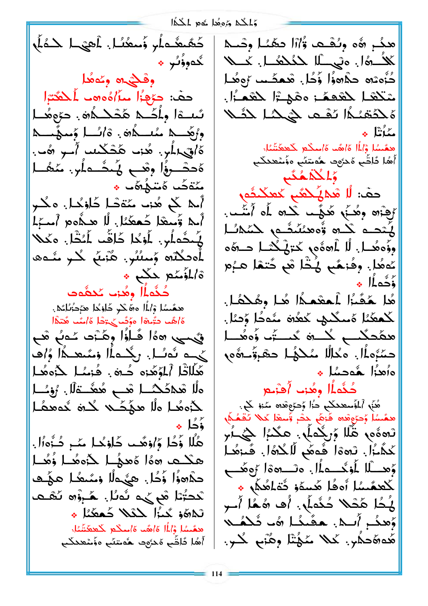وَٰلِكُمْ وَرُوهُمْ شُومٍ لِمَكْمَٰ

كَتَفَعَدُ مِنْهُ وَمُعَمَّلَ أَعْيَا حَدُبًا گدوؤُلُو \* وقثيه وتماها حقَّ: حوِّهُ أمالُهُ مِعَامَلٍ لِمَكْتَبِرا سُدةا وِلَمَكِيهِ هُشْمَيْهُ وَجَوَهُمُ الْمُحَمَّدِينَ مَعْ ورُكْمِـــدْ مُنْـــدُهْ. ةَ/نُـــا وَمِـدِيَّـــد ەُ/قْ\بابْلُمْ. ھُنا ھَڪْلمْك أُسو ھُتْ. ەُحصَّـرۇُا وقىــ كَىشَــەلُر. مَنْھُــا مَّةَكَبَ ةَسْكُرْةَبَ \* آىھ كى هُنِت مِنْتَقَا كَاوْكَا. مِكْتِ أَبِي وَمَعْدَا حَمِعَيْا. لَا مِحِدُومِ أَمِيَا لَمَحْماُرٍ. لَمَوْكُل كَاقُب لَمُتْتَا. 20كَلا لْمَحْكَمُهِ وَمِعْلُو. هُنْكُمْ لَكُو مُنْعَهِ ة/اوَّسُع مِكْمٍ \* كُنُّه لَمَّا وهُن مُحَقَّدت همَّسُا وْ) أَا مَهْ كُرِ كَاوْكَا هَرَّدَٰاللَّهُ.<br>هُ/هُــٰ دَّبَّــٰهَا مَوِّضٌــٰ كِـتِرْدَا هُ/مُّــٰ هُتَـٰهَا فَيْحِي 1هُ أَهْلُوا وِهَٰٓءَت سُمبُ شَع يْ؎ ئُەسُل. رِيْكماُ اوْمُىعىدَا وُإِي كَعَلَاتْنَا ٱلْمَوْهَٰذِهِ ۚ حُـِيهَ ﴾ فُنِسُل جَزْهِ هُـا ەلل شىمكىكىل شىپ ھُھُنەلل ؛ رُفِيُنا لأەمُل ەلل مەڭگىلا كىھ ئەممۇلم ر گا پ هُلًا وَّحُل وَٰ/وَهُــب حَاوَيْحِـل مِنْـرٍ حُـزُّهِ،ُلْ. هڭىم ھۇا ۇھۇلى لاۋۇسىل ۋۇلىر حكْمَوْا وْحُا. هِيْجالْا وْمُبْعَدا هِهُت تحتُمْ مَعْ کِے شَارِ. هَـٰہِوْہِ نَـْصَـٰفَ تَلَاهُو كُنُزًا لِلْكَلا خُمِعَنَا \* همُسُلٍّ وَٱلْمَالَ وَٱصْدَ وَٱسْكُمْ لَكُمْعَتَّبْدًا. أَهُا دَّاتَٰب هُدرُهِ حُمْسَبُ وَنُسْعدكُب

هدُم هُو ويُفْـم وُّأَآا حهَّيْـا وحْبــه كلُّدُّ ، أَسْمَعُكُمْ لِلْسَرِيَّةَ ، أَشْكُلُّهُ عَلَيْهِ مِنْ الْمُسَلِّدُ كُنُوءَه حكْلُهوُّا وُّكُلْ. هُمكَــْب رُوهُــا متلقا للقعمّ: مفهنٌا للقمُّ!. هَ حَدَّقْتُمُ الْمُهْدَى حَدَّى الْمُحْمَّلَ لَقَـٰهَا ۖ مْلُرْنْلْ ﴾ هِمُسُلٍ وَٱلْمَالَ ٱهُدِ ٱسْكُمْ كُمْعَتِّبْدًا. أَهُا دَٰاتَٰبِ هَدْوَت حَقَصتَبِ وَذَعْقَدَكَبِ وَالْمَحْمَنُى حفّ: لَا مْدْهُكْشُمْ كْعَكْدُهِ ئرهنزه وهُــنَى هُــمَّـــ لَــده لَمه أَسَّـــــ. لَحْتحــه كَـــره وُّهمدُمُدْــه لِلْمَكْلُــل وِفَوهُما. لَا ـأَرْوَةُوبِ كَتَرَبَّىٰكُمْـا حَــرَهُ و غَمْلٍ. وفُنِمًى هُخْلُ هَى خُتْمًا هـرُم وَّحْماُ لَهِ: هُا هَفَّنْ أَعشَعْاً هُا وهُكْمًا. لْكَمِعْنَا هَمِكْنَدِي لَمَعُرْهُ مُتَوَجًّا وَصَار. ههُجكُسب كُمِية كُمِيتُها وُوهُسَا حمَّبُوءاً!. وكالًا سُلاهُا حقَّرَةُــوهُو وأهدًا هُوصِمًا ﴾ دُخُه أَا وهُن أَكْنُو ِّ هُنَّهُ ٱلْمُصْعَدَكَ ۚ ذَٰا وَجَرَّوْهُ مِنْ الْإِلَىٰ ﴾.<br>هِمُسُل وِجرَّوْهُ هُوَ أَنَّ عَجْمٍ لِلْمَسْرِ الْمَحْلِ كَلا يَقْمُكُمْ تَحْفَى هَذَا وُرِيْكُمْ). هَكْدُ! ۞ مُوَ كَكُنُراً. ثَ9ةَا فُوهَٰي لَائْكُواْ. فُنوهُا وِّها الْمُؤْكَّـــه|ا وتــــــه 16 وَوَهَـــــــم <u>َ</u>كْعْصُسُا أُوفُا هُسوَّة ثَّقَاهُكُمْ \* هُـُدَا هَٰتَـٰهُ ۖ دُثَمَهُ. أَف هُـمَّا أَسر وَهجُم أَسِي. حقَيجُا هُب ثَلْجُلًا هُدەھُدەُب. كَمْلا مَكْمَتْلَ وِهُنْمٍ كُمْسٍ.